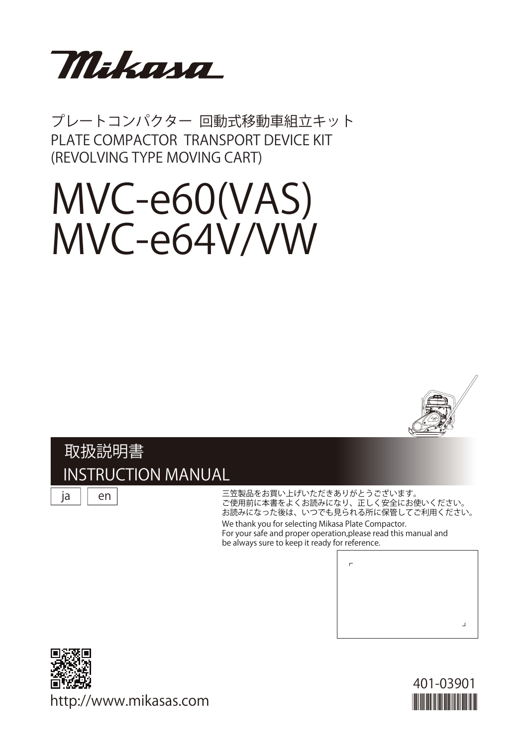

プレートコンパクター 回動式移動車組立キット PLATE COMPACTOR TRANSPORT DEVICE KIT (REVOLVING TYPE MOVING CART)

# MVC-e60(VAS) MVC-e64V/VW



### 取扱説明書 INSTRUCTION MANUAL

ja

en

#### 三笠製品をお買い上げいただきありがとうございます。 ご使用前に本書をよくお読みになり、正しく安全にお使いください。 お読みになった後は、いつでも見られる所に保管してご利用ください。 We thank you for selecting Mikasa Plate Compactor. For your safe and proper operation,please read this manual and be always sure to keep it ready for reference.





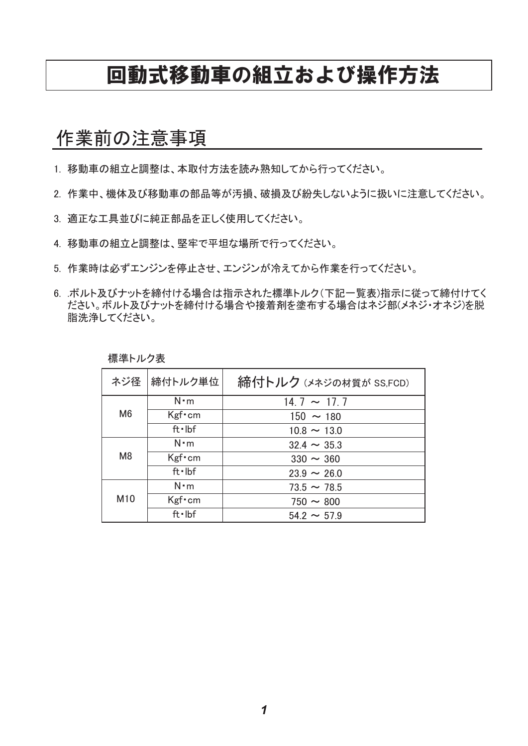### 回動式移動車の組立および操作方法

### 作業前の注意事項

1. 移動車の組立と調整は、本取付方法を読み熟知してから行ってください。

- 2. 作業中、機体及び移動車の部品等が汚損、破損及び紛失しないように扱いに注意してください。
- 3. 適正な工具並びに純正部品を正しく使用してください。
- 4. 移動車の組立と調整は、堅牢で平坦な場所で行ってください。
- 5. 作業時は必ずエンジンを停止させ、エンジンが冷えてから作業を行ってください。
- 6. .ボルト及びナットを締付ける場合は指示された標準トルク(下記一覧表)指示に従って締付けてく ださい。ボルト及びナットを締付ける場合や接着剤を塗布する場合はネジ部(メネジ・オネジ)を脱 脂洗浄してください。

標準トルク表

|                 | ネジ径 締付トルク単位 | 締付トルク (メネジの材質が SS,FCD) |  |
|-----------------|-------------|------------------------|--|
| M <sub>6</sub>  | $N \cdot m$ | $14.7 \sim 17.7$       |  |
|                 | $Kgf$ cm    | $150 \sim 180$         |  |
|                 | ft·lbf      | $10.8 \sim 13.0$       |  |
| M <sub>8</sub>  | $N \cdot m$ | $32.4 \sim 35.3$       |  |
|                 | $Kgf$ cm    | $330 \sim 360$         |  |
|                 | ft·lbf      | $23.9 \sim 26.0$       |  |
| M <sub>10</sub> | $N \cdot m$ | $73.5 \sim 78.5$       |  |
|                 | $Kgf$ cm    | $750 \sim 800$         |  |
|                 | ft·lbf      | $542 \sim 579$         |  |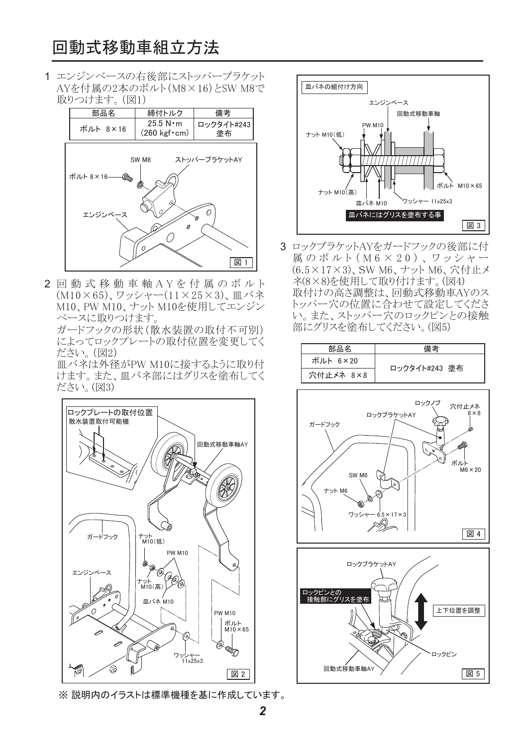### 回動式移動車組立方法

1 エンジンベースの右後部にストッパーブラケット AYを付属の2本のボルト(M8×16)とSW M8で 取りつけます。 (図1)



2 回動式移動車軸AYを付属のボルト (M10×65)、ワッシャー(11×25×3)、皿バネ M10、 PW M10、ナット M10を使用してエンジン べースに取りつけます。

ガードフックの形状 (散水装置の取付不可別) によってロックプレートの取付位置を変更してく ださい。(図2)

Ⅲ バネは外径がPW M10に接するように取り付 けます。また、皿バネ部にはグリスを塗布してく ださい。(図3)



※説明内のイラストは標準機種を基に作成しています。



3 ロックブラケットAYをガードフックの後部に付 属のボルト (M6×20)、ワッシャー (6.5×17×3)、SW M6、ナット M6、穴付止メ ネ(8×8)を使用して取り付けます。(図4) 取付けの高さ調整は、回動式移動車AYのス トッパー穴の位置に合わせて設定してくださ い。また、ストッパー穴のロックピンとの接触 部にグリスを塗布してください。(図5)

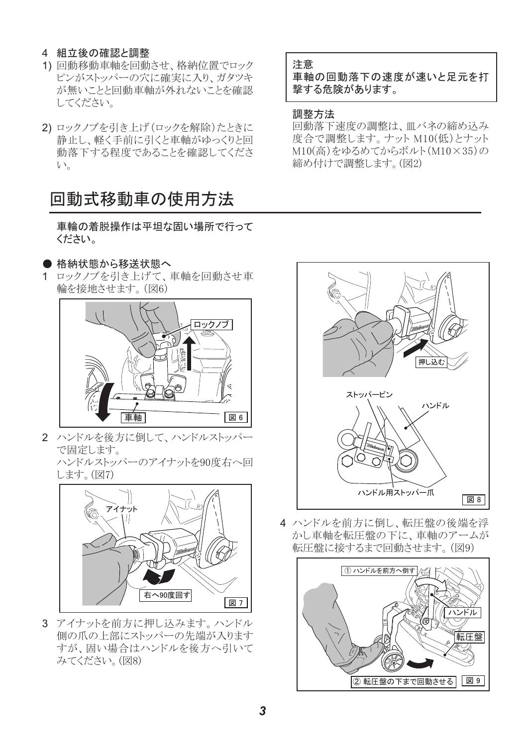#### 4 組立後の確認と調整

- 1) 回動移動車軸を回動させ、格納位置でロック ピンがストッパーの穴に確実に入り、ガタツキ が無いことと回動車軸が外れないことを確認 してください。
- 2) ロックノブを引き上げ (ロックを解除) たときに 静止し、軽く手前に引くと車軸がゆっくりと回 動落下する程度であることを確認してくださ  $V_{\alpha}$

### 回動式移動車の使用方法

車輪の着脱操作は平坦な固い場所で行って ください。

- 格納状態から移送状態へ
- 1 ロックノブを引き上げて、車軸を回動させ車 輪を接地させます。(図6)



2 ハンドルを後方に倒して、ハンドルストッパー で固定します。

ハンドルストッパーのアイナットを90度右へ回 します。(図7)



3 アイナットを前方に押し込みます。 ハンドル 側の爪の上部にストッパーの先端が入ります すが、固い場合はハンドルを後方へ引いて みてください。(図8)

#### 注意

車軸の回動落下の速度が速いと足元を打 撃する危険があります。

#### 調整方法

回動落下速度の調整は、皿バネの締め込み 度合で調整します。ナット M10(低)とナット M10(高)をゆるめてからボルト(M10×35)の 締め付けで調整します。(図2)



4 ハンドルを前方に倒し、転圧盤の後端を浮 かし車軸を転圧盤の下に、車軸のアームが 転圧盤に接するまで回動させます。(図9)

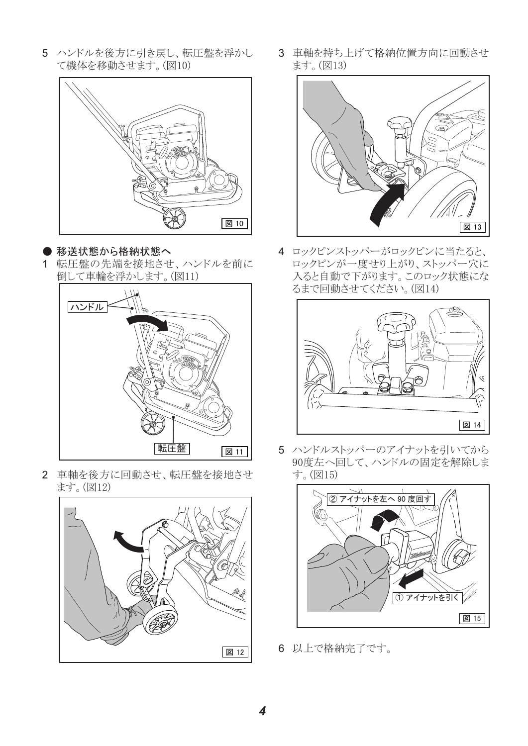5 ハンドルを後方に引き戻し、転圧盤を浮かし て機体を移動させます。(図10)



● 移送状態から格納状態へ 1 転圧盤の先端を接地させ、ハンドルを前に 倒して車輪を浮かします。(図11)



2 車軸を後方に回動させ、転圧盤を接地させ ます。(図12)



3 車軸を持ち上げて格納位置方向に回動させ ます。(図13)



4 ロックピンストッパーがロックピンに当たると、 ロックピンが一度せり上がり、ストッパー穴に 入ると自動で下がります。このロック状態にな るまで回動させてください。(図14)



5 ハンドルストッパーのアイナットを引いてから 90度左へ回して、ハンドルの固定を解除しま す。(図15)



6 以上で格納完了です。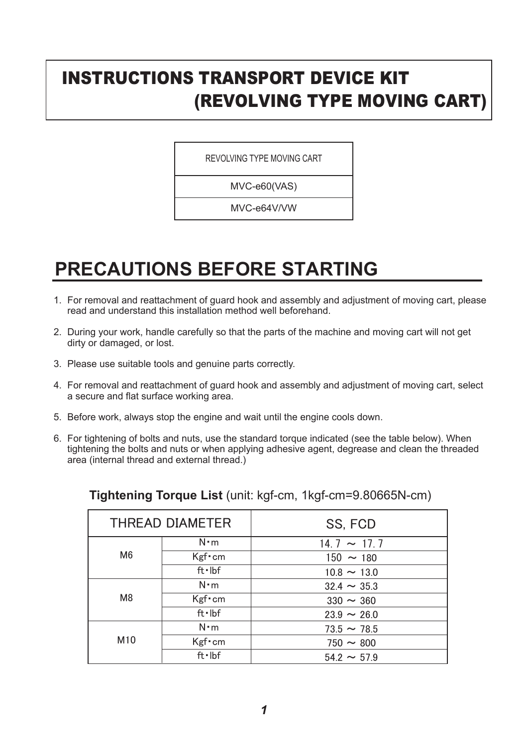### INSTRUCTIONS TRANSPORT DEVICE KIT (REVOLVING TYPE MOVING CART)

REVOLVING TYPE MOVING CART

MVC-e60(VAS)

MVC-e64V/VW

# **PRECAUTIONS BEFORE STARTING**

- 1. For removal and reattachment of guard hook and assembly and adjustment of moving cart, please read and understand this installation method well beforehand.
- 2. During your work, handle carefully so that the parts of the machine and moving cart will not get dirty or damaged, or lost.
- 3. Please use suitable tools and genuine parts correctly.
- 4. For removal and reattachment of guard hook and assembly and adjustment of moving cart, select a secure and flat surface working area.
- 5. Before work, always stop the engine and wait until the engine cools down.
- 6. For tightening of bolts and nuts, use the standard torque indicated (see the table below). When tightening the bolts and nuts or when applying adhesive agent, degrease and clean the threaded area (internal thread and external thread.)

| THREAD DIAMETER |             | SS, FCD          |  |
|-----------------|-------------|------------------|--|
| M <sub>6</sub>  | $N \cdot m$ | $14.7 \sim 17.7$ |  |
|                 | $Kgf$ cm    | $150 \sim 180$   |  |
|                 | ft·lbf      | $10.8 \sim 13.0$ |  |
| M <sub>8</sub>  | $N \cdot m$ | $32.4 \sim 35.3$ |  |
|                 | $Kgf$ cm    | $330 \sim 360$   |  |
|                 | ft·lbf      | $23.9 \sim 26.0$ |  |
| M <sub>10</sub> | $N \cdot m$ | $73.5 \sim 78.5$ |  |
|                 | $Kgf$ cm    | $750 \sim 800$   |  |
|                 | ft·lbf      | $54.2 \sim 57.9$ |  |

### **Tightening Torque List** (unit: kgf-cm, 1kgf-cm=9.80665N-cm)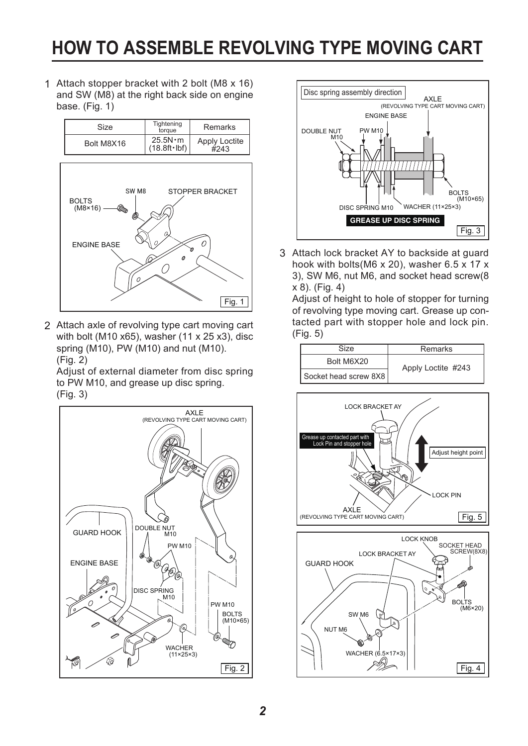# **HOW TO ASSEMBLE REVOLVING TYPE MOVING CART**

Attach stopper bracket with 2 bolt (M8 x 16) 1 and SW (M8) at the right back side on engine base. (Fig. 1)

| Size       | Tightening<br>toraue                    | <b>Remarks</b>               |
|------------|-----------------------------------------|------------------------------|
| Bolt M8X16 | $25.5N \cdot m$<br>$(18.8ft \cdot lbf)$ | <b>Apply Loctite</b><br>#243 |



Attach axle of revolving type cart moving cart 2 with bolt (M10 x65), washer (11 x 25 x3), disc spring (M10), PW (M10) and nut (M10). (Fig. 2)

Adjust of external diameter from disc spring to PW M10, and grease up disc spring. (Fig. 3)





3 Attach lock bracket AY to backside at guard hook with bolts(M6 x 20), washer 6.5 x 17 x 3), SW M6, nut M6, and socket head screw(8 x 8). (Fig. 4)

Adjust of height to hole of stopper for turning of revolving type moving cart. Grease up contacted part with stopper hole and lock pin. (Fig. 5)





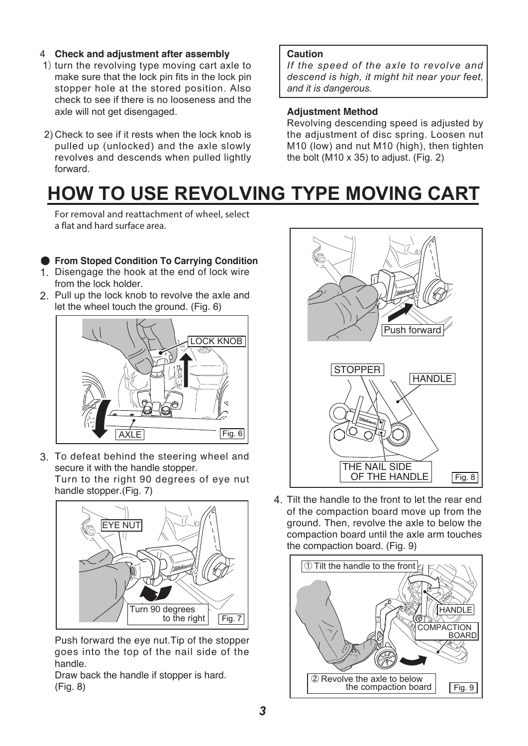### **Check and adjustment after assembly** 4

- 1) turn the revolving type moving cart axle to make sure that the lock pin fits in the lock pin stopper hole at the stored position. Also check to see if there is no looseness and the axle will not get disengaged.
- 2) Check to see if it rests when the lock knob is pulled up (unlocked) and the axle slowly revolves and descends when pulled lightly forward.

#### **Caution**

*If the speed of the axle to revolve and descend is high, it might hit near your feet, and it is dangerous.* 

#### **Adjustment Method**

Revolving descending speed is adjusted by the adjustment of disc spring. Loosen nut M10 (low) and nut M10 (high), then tighten the bolt (M10  $\times$  35) to adjust. (Fig. 2)

# **HOW TO USE REVOLVING TYPE MOVING CART**

**For removal and reattachment of wheel, select a flat and hard surface area.**

### 䖃 **From Stoped Condition To Carrying Condition**

- 1. Disengage the hook at the end of lock wire from the lock holder.
- 2. Pull up the lock knob to revolve the axle and let the wheel touch the ground. (Fig. 6)



3. To defeat behind the steering wheel and secure it with the handle stopper.

Turn to the right 90 degrees of eye nut handle stopper.(Fig. 7)



Push forward the eye nut.Tip of the stopper goes into the top of the nail side of the handle.

Draw back the handle if stopper is hard. (Fig. 8)



4. Tilt the handle to the front to let the rear end of the compaction board move up from the ground. Then, revolve the axle to below the compaction board until the axle arm touches the compaction board. (Fig. 9)

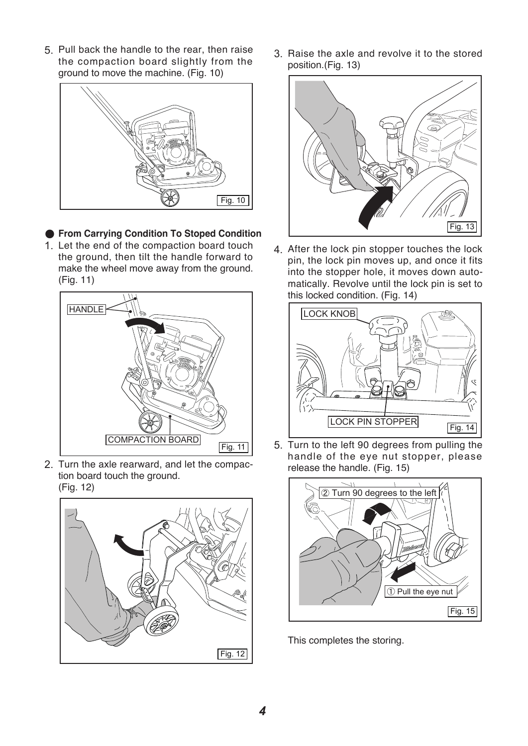5. Pull back the handle to the rear, then raise the compaction board slightly from the ground to move the machine. (Fig. 10)



- 䖃 **From Carrying Condition To Stoped Condition**
- 1. Let the end of the compaction board touch the ground, then tilt the handle forward to make the wheel move away from the ground. (Fig. 11)



2. Turn the axle rearward, and let the compaction board touch the ground. (Fig. 12)



3. Raise the axle and revolve it to the stored position.(Fig. 13)



4. After the lock pin stopper touches the lock pin, the lock pin moves up, and once it fits into the stopper hole, it moves down automatically. Revolve until the lock pin is set to this locked condition. (Fig. 14)



5. Turn to the left 90 degrees from pulling the handle of the eye nut stopper, please release the handle. (Fig. 15)



This completes the storing.